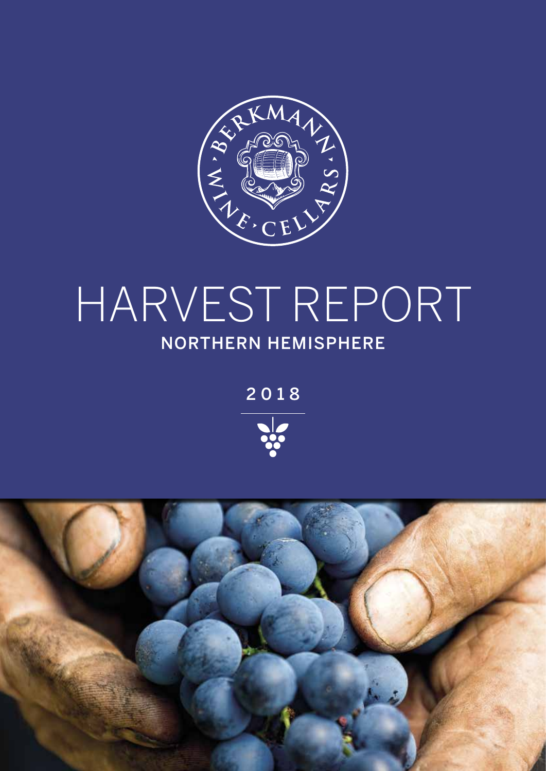

### HARVEST REPORT NORTHERN HEMISPHERE

2018



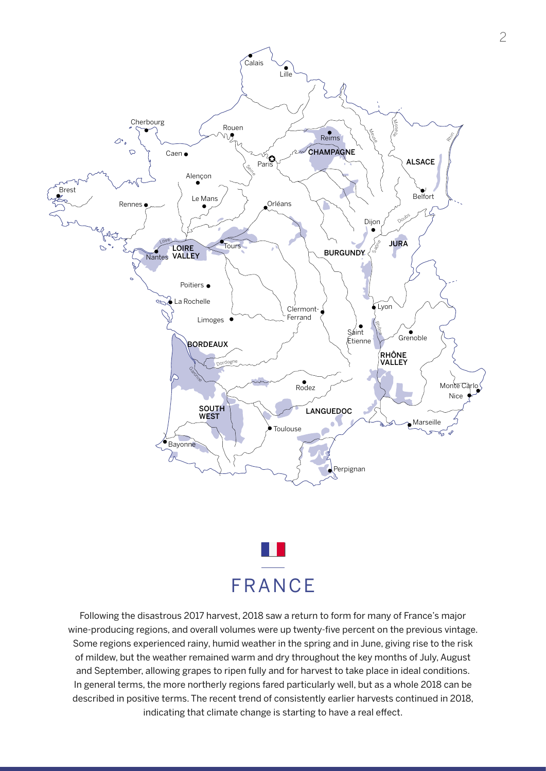



Following the disastrous 2017 harvest, 2018 saw a return to form for many of France's major wine-producing regions, and overall volumes were up twenty-five percent on the previous vintage. Some regions experienced rainy, humid weather in the spring and in June, giving rise to the risk of mildew, but the weather remained warm and dry throughout the key months of July, August and September, allowing grapes to ripen fully and for harvest to take place in ideal conditions. In general terms, the more northerly regions fared particularly well, but as a whole 2018 can be described in positive terms. The recent trend of consistently earlier harvests continued in 2018, indicating that climate change is starting to have a real effect.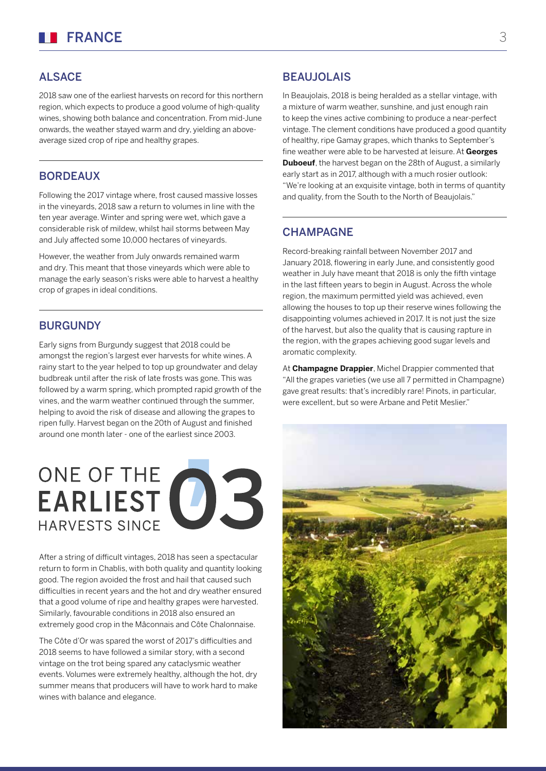#### **ALSACE**

2018 saw one of the earliest harvests on record for this northern region, which expects to produce a good volume of high-quality wines, showing both balance and concentration. From mid-June onwards, the weather stayed warm and dry, yielding an aboveaverage sized crop of ripe and healthy grapes.

#### BORDEAUX

Following the 2017 vintage where, frost caused massive losses in the vineyards, 2018 saw a return to volumes in line with the ten year average. Winter and spring were wet, which gave a considerable risk of mildew, whilst hail storms between May and July affected some 10,000 hectares of vineyards.

However, the weather from July onwards remained warm and dry. This meant that those vineyards which were able to manage the early season's risks were able to harvest a healthy crop of grapes in ideal conditions.

#### **BURGUNDY**

Early signs from Burgundy suggest that 2018 could be amongst the region's largest ever harvests for white wines. A rainy start to the year helped to top up groundwater and delay budbreak until after the risk of late frosts was gone. This was followed by a warm spring, which prompted rapid growth of the vines, and the warm weather continued through the summer, helping to avoid the risk of disease and allowing the grapes to ripen fully. Harvest began on the 20th of August and finished around one month later - one of the earliest since 2003.

## ONE OF THE CONNECT **HARVESTS SINCE**

After a string of difficult vintages, 2018 has seen a spectacular return to form in Chablis, with both quality and quantity looking good. The region avoided the frost and hail that caused such difficulties in recent years and the hot and dry weather ensured that a good volume of ripe and healthy grapes were harvested. Similarly, favourable conditions in 2018 also ensured an extremely good crop in the Mâconnais and Côte Chalonnaise.

The Côte d'Or was spared the worst of 2017's difficulties and 2018 seems to have followed a similar story, with a second vintage on the trot being spared any cataclysmic weather events. Volumes were extremely healthy, although the hot, dry summer means that producers will have to work hard to make wines with balance and elegance.

#### **BEAUJOLAIS**

In Beaujolais, 2018 is being heralded as a stellar vintage, with a mixture of warm weather, sunshine, and just enough rain to keep the vines active combining to produce a near-perfect vintage. The clement conditions have produced a good quantity of healthy, ripe Gamay grapes, which thanks to September's fine weather were able to be harvested at leisure. At **Georges Duboeuf**, the harvest began on the 28th of August, a similarly early start as in 2017, although with a much rosier outlook: "We're looking at an exquisite vintage, both in terms of quantity and quality, from the South to the North of Beaujolais."

#### **CHAMPAGNE**

Record-breaking rainfall between November 2017 and January 2018, flowering in early June, and consistently good weather in July have meant that 2018 is only the fifth vintage in the last fifteen years to begin in August. Across the whole region, the maximum permitted yield was achieved, even allowing the houses to top up their reserve wines following the disappointing volumes achieved in 2017. It is not just the size of the harvest, but also the quality that is causing rapture in the region, with the grapes achieving good sugar levels and aromatic complexity.

At **Champagne Drappier**, Michel Drappier commented that "All the grapes varieties (we use all 7 permitted in Champagne) gave great results: that's incredibly rare! Pinots, in particular, were excellent, but so were Arbane and Petit Meslier."

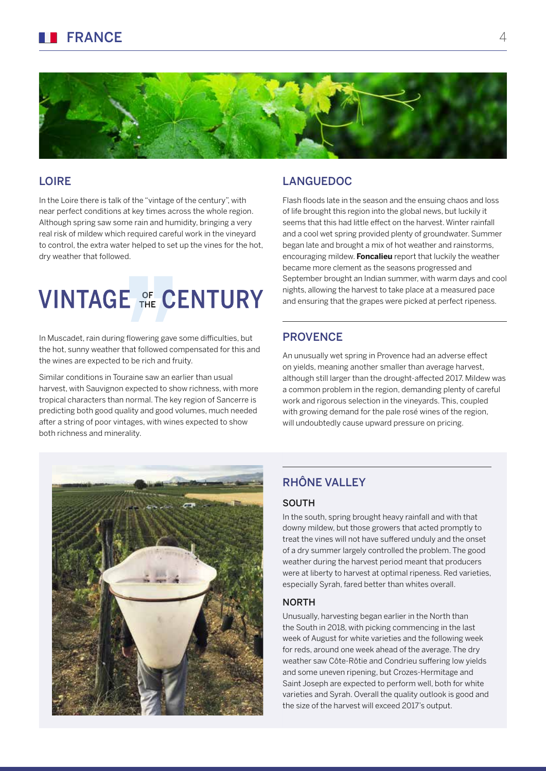

#### LOIRE

In the Loire there is talk of the "vintage of the century", with near perfect conditions at key times across the whole region. Although spring saw some rain and humidity, bringing a very real risk of mildew which required careful work in the vineyard to control, the extra water helped to set up the vines for the hot, dry weather that followed.

### **VINTAGE OF CENTURY**

In Muscadet, rain during flowering gave some difficulties, but the hot, sunny weather that followed compensated for this and the wines are expected to be rich and fruity.

Similar conditions in Touraine saw an earlier than usual harvest, with Sauvignon expected to show richness, with more tropical characters than normal. The key region of Sancerre is predicting both good quality and good volumes, much needed after a string of poor vintages, with wines expected to show both richness and minerality.

#### LANGUEDOC

Flash floods late in the season and the ensuing chaos and loss of life brought this region into the global news, but luckily it seems that this had little effect on the harvest. Winter rainfall and a cool wet spring provided plenty of groundwater. Summer began late and brought a mix of hot weather and rainstorms, encouraging mildew. **Foncalieu** report that luckily the weather became more clement as the seasons progressed and September brought an Indian summer, with warm days and cool nights, allowing the harvest to take place at a measured pace and ensuring that the grapes were picked at perfect ripeness.

#### **PROVENCE**

An unusually wet spring in Provence had an adverse effect on yields, meaning another smaller than average harvest, although still larger than the drought-affected 2017. Mildew was a common problem in the region, demanding plenty of careful work and rigorous selection in the vineyards. This, coupled with growing demand for the pale rosé wines of the region, will undoubtedly cause upward pressure on pricing.



#### RHÔNE VALLEY

#### SOUTH

In the south, spring brought heavy rainfall and with that downy mildew, but those growers that acted promptly to treat the vines will not have suffered unduly and the onset of a dry summer largely controlled the problem. The good weather during the harvest period meant that producers were at liberty to harvest at optimal ripeness. Red varieties, especially Syrah, fared better than whites overall.

#### NORTH

Unusually, harvesting began earlier in the North than the South in 2018, with picking commencing in the last week of August for white varieties and the following week for reds, around one week ahead of the average. The dry weather saw Côte-Rôtie and Condrieu suffering low yields and some uneven ripening, but Crozes-Hermitage and Saint Joseph are expected to perform well, both for white varieties and Syrah. Overall the quality outlook is good and the size of the harvest will exceed 2017's output.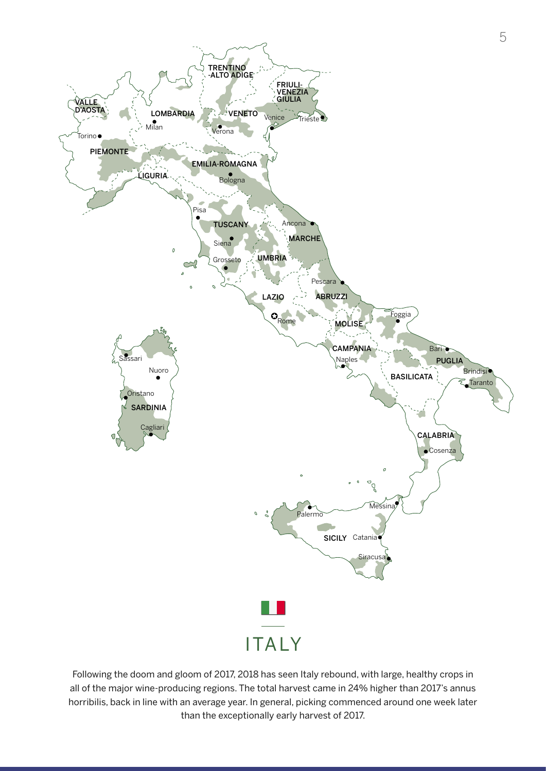

Following the doom and gloom of 2017, 2018 has seen Italy rebound, with large, healthy crops in all of the major wine-producing regions. The total harvest came in 24% higher than 2017's annus horribilis, back in line with an average year. In general, picking commenced around one week later than the exceptionally early harvest of 2017.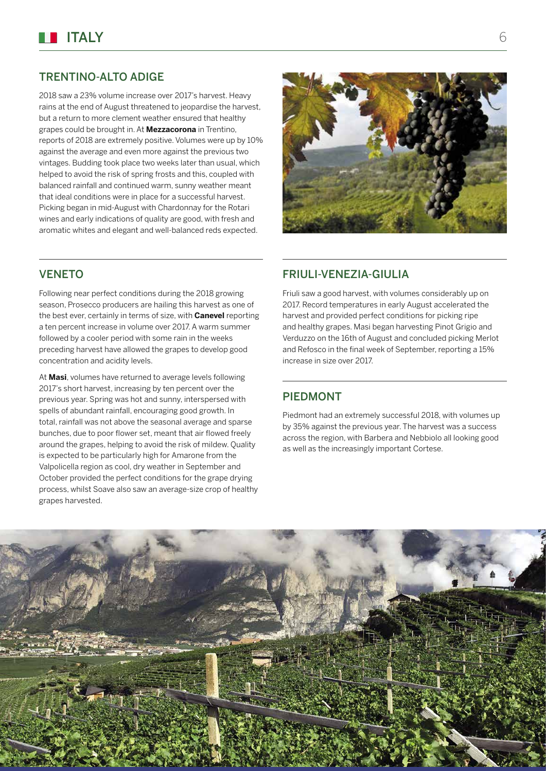#### TRENTINO-ALTO ADIGE

2018 saw a 23% volume increase over 2017's harvest. Heavy rains at the end of August threatened to jeopardise the harvest, but a return to more clement weather ensured that healthy grapes could be brought in. At **Mezzacorona** in Trentino, reports of 2018 are extremely positive. Volumes were up by 10% against the average and even more against the previous two vintages. Budding took place two weeks later than usual, which helped to avoid the risk of spring frosts and this, coupled with balanced rainfall and continued warm, sunny weather meant that ideal conditions were in place for a successful harvest. Picking began in mid-August with Chardonnay for the Rotari wines and early indications of quality are good, with fresh and aromatic whites and elegant and well-balanced reds expected.



#### **VENETO**

Following near perfect conditions during the 2018 growing season, Prosecco producers are hailing this harvest as one of the best ever, certainly in terms of size, with **Canevel** reporting a ten percent increase in volume over 2017. A warm summer followed by a cooler period with some rain in the weeks preceding harvest have allowed the grapes to develop good concentration and acidity levels.

At **Masi**, volumes have returned to average levels following 2017's short harvest, increasing by ten percent over the previous year. Spring was hot and sunny, interspersed with spells of abundant rainfall, encouraging good growth. In total, rainfall was not above the seasonal average and sparse bunches, due to poor flower set, meant that air flowed freely around the grapes, helping to avoid the risk of mildew. Quality is expected to be particularly high for Amarone from the Valpolicella region as cool, dry weather in September and October provided the perfect conditions for the grape drying process, whilst Soave also saw an average-size crop of healthy grapes harvested.

#### FRIULI-VENEZIA-GIULIA

Friuli saw a good harvest, with volumes considerably up on 2017. Record temperatures in early August accelerated the harvest and provided perfect conditions for picking ripe and healthy grapes. Masi began harvesting Pinot Grigio and Verduzzo on the 16th of August and concluded picking Merlot and Refosco in the final week of September, reporting a 15% increase in size over 2017.

#### PIEDMONT

Piedmont had an extremely successful 2018, with volumes up by 35% against the previous year. The harvest was a success across the region, with Barbera and Nebbiolo all looking good as well as the increasingly important Cortese.

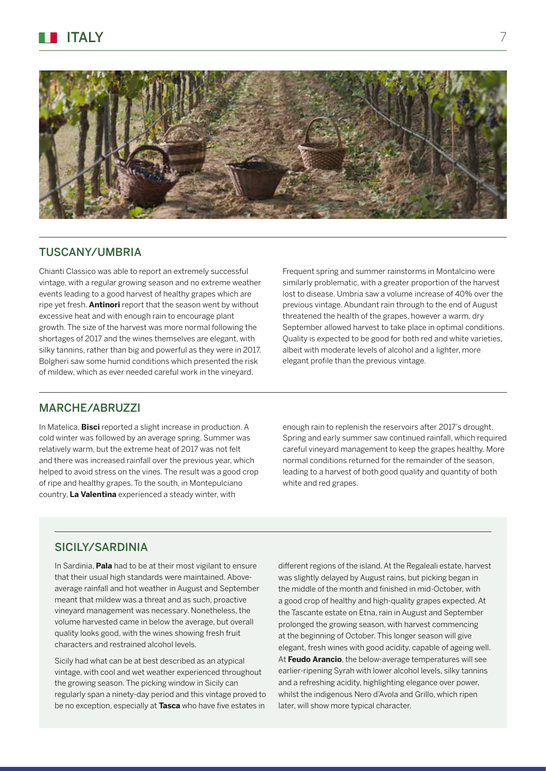

#### TUSCANY/UMBRIA

Chianti Classico was able to report an extremely successful vintage, with a regular growing season and no extreme weather events leading to a good harvest of healthy grapes which are ripe yet fresh. **Antinori** report that the season went by without excessive heat and with enough rain to encourage plant growth. The size of the harvest was more normal following the shortages of 2017 and the wines themselves are elegant, with silky tannins, rather than big and powerful as they were in 2017. Bolgheri saw some humid conditions which presented the risk of mildew, which as ever needed careful work in the vineyard.

Frequent spring and summer rainstorms in Montalcino were similarly problematic, with a greater proportion of the harvest lost to disease. Umbria saw a volume increase of 40% over the previous vintage. Abundant rain through to the end of August threatened the health of the grapes, however a warm, dry September allowed harvest to take place in optimal conditions. Quality is expected to be good for both red and white varieties, albeit with moderate levels of alcohol and a lighter, more elegant profile than the previous vintage.

#### MARCHE/ABRUZZI

In Matelica, **Bisci** reported a slight increase in production. A cold winter was followed by an average spring. Summer was relatively warm, but the extreme heat of 2017 was not felt and there was increased rainfall over the previous year, which helped to avoid stress on the vines. The result was a good crop of ripe and healthy grapes. To the south, in Montepulciano country, **La Valentina** experienced a steady winter, with

enough rain to replenish the reservoirs after 2017's drought. Spring and early summer saw continued rainfall, which required careful vineyard management to keep the grapes healthy. More normal conditions returned for the remainder of the season, leading to a harvest of both good quality and quantity of both white and red grapes.

#### SICILY/SARDINIA

In Sardinia, **Pala** had to be at their most vigilant to ensure that their usual high standards were maintained. Aboveaverage rainfall and hot weather in August and September meant that mildew was a threat and as such, proactive vineyard management was necessary. Nonetheless, the volume harvested came in below the average, but overall quality looks good, with the wines showing fresh fruit characters and restrained alcohol levels.

Sicily had what can be at best described as an atypical vintage, with cool and wet weather experienced throughout the growing season. The picking window in Sicily can regularly span a ninety-day period and this vintage proved to be no exception, especially at **Tasca** who have five estates in different regions of the island. At the Regaleali estate, harvest was slightly delayed by August rains, but picking began in the middle of the month and finished in mid-October, with a good crop of healthy and high-quality grapes expected. At the Tascante estate on Etna, rain in August and September prolonged the growing season, with harvest commencing at the beginning of October. This longer season will give elegant, fresh wines with good acidity, capable of ageing well. At **Feudo Arancio**, the below-average temperatures will see earlier-ripening Syrah with lower alcohol levels, silky tannins and a refreshing acidity, highlighting elegance over power, whilst the indigenous Nero d'Avola and Grillo, which ripen later, will show more typical character.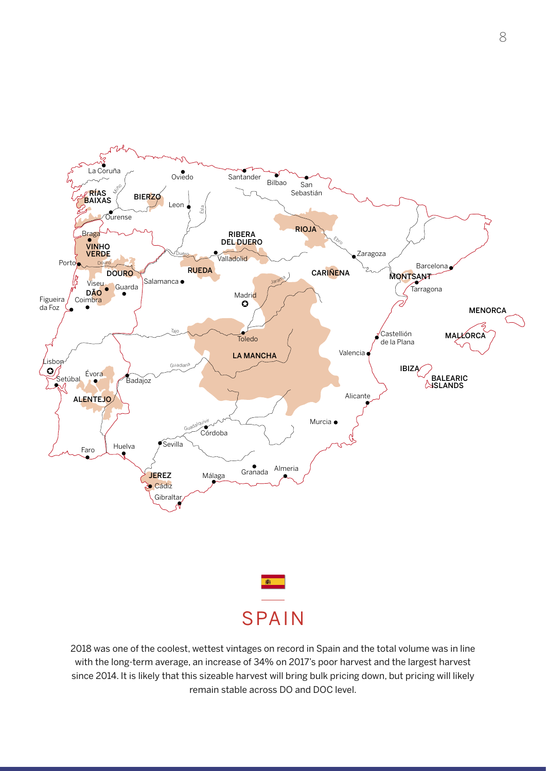

2018 was one of the coolest, wettest vintages on record in Spain and the total volume was in line with the long-term average, an increase of 34% on 2017's poor harvest and the largest harvest since 2014. It is likely that this sizeable harvest will bring bulk pricing down, but pricing will likely remain stable across DO and DOC level.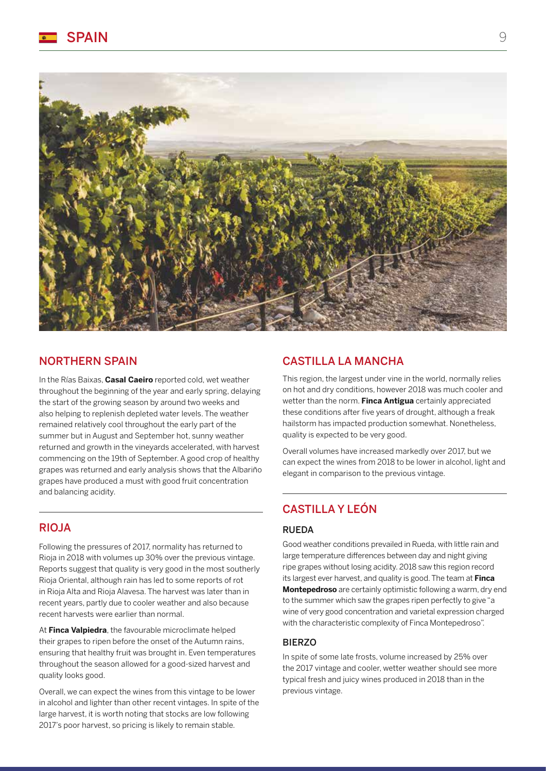

#### NORTHERN SPAIN

In the Rías Baixas, **Casal Caeiro** reported cold, wet weather throughout the beginning of the year and early spring, delaying the start of the growing season by around two weeks and also helping to replenish depleted water levels. The weather remained relatively cool throughout the early part of the summer but in August and September hot, sunny weather returned and growth in the vineyards accelerated, with harvest commencing on the 19th of September. A good crop of healthy grapes was returned and early analysis shows that the Albariño grapes have produced a must with good fruit concentration and balancing acidity.

#### RIOJA

Following the pressures of 2017, normality has returned to Rioja in 2018 with volumes up 30% over the previous vintage. Reports suggest that quality is very good in the most southerly Rioja Oriental, although rain has led to some reports of rot in Rioja Alta and Rioja Alavesa. The harvest was later than in recent years, partly due to cooler weather and also because recent harvests were earlier than normal.

At **Finca Valpiedra**, the favourable microclimate helped their grapes to ripen before the onset of the Autumn rains, ensuring that healthy fruit was brought in. Even temperatures throughout the season allowed for a good-sized harvest and quality looks good.

Overall, we can expect the wines from this vintage to be lower in alcohol and lighter than other recent vintages. In spite of the large harvest, it is worth noting that stocks are low following 2017's poor harvest, so pricing is likely to remain stable.

#### CASTILLA LA MANCHA

This region, the largest under vine in the world, normally relies on hot and dry conditions, however 2018 was much cooler and wetter than the norm. **Finca Antigua** certainly appreciated these conditions after five years of drought, although a freak hailstorm has impacted production somewhat. Nonetheless, quality is expected to be very good.

Overall volumes have increased markedly over 2017, but we can expect the wines from 2018 to be lower in alcohol, light and elegant in comparison to the previous vintage.

#### CASTILLA Y LEÓN

#### RUEDA

Good weather conditions prevailed in Rueda, with little rain and large temperature differences between day and night giving ripe grapes without losing acidity. 2018 saw this region record its largest ever harvest, and quality is good. The team at **Finca Montepedroso** are certainly optimistic following a warm, dry end to the summer which saw the grapes ripen perfectly to give "a wine of very good concentration and varietal expression charged with the characteristic complexity of Finca Montepedroso".

#### **BIERZO**

In spite of some late frosts, volume increased by 25% over the 2017 vintage and cooler, wetter weather should see more typical fresh and juicy wines produced in 2018 than in the previous vintage.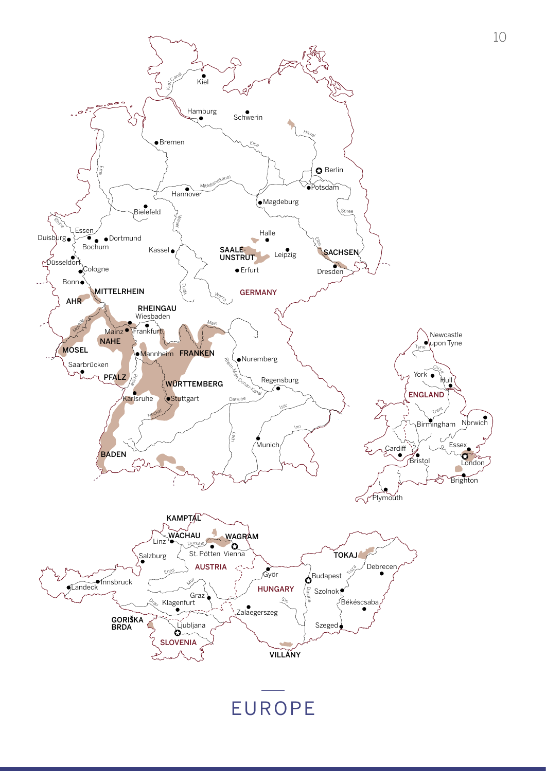

EUROPE

10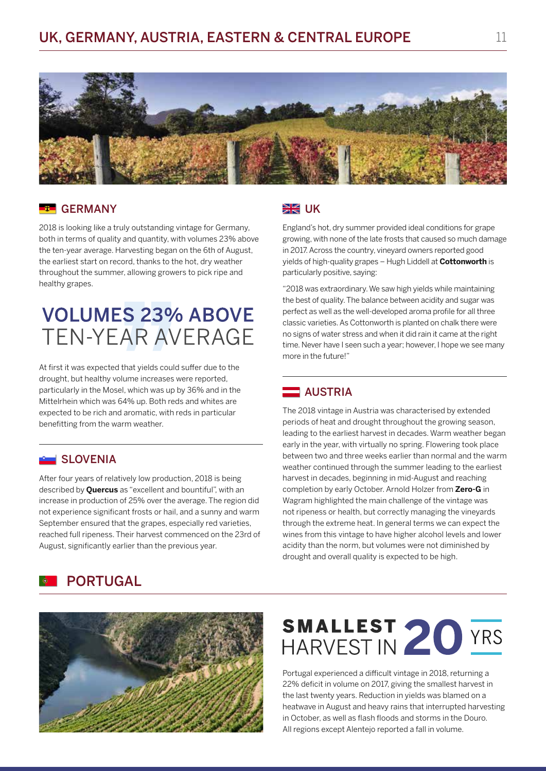

#### **ET GERMANY**

2018 is looking like a truly outstanding vintage for Germany, both in terms of quality and quantity, with volumes 23% above the ten-year average. Harvesting began on the 6th of August, the earliest start on record, thanks to the hot, dry weather throughout the summer, allowing growers to pick ripe and healthy grapes.

### **VOLUMES 23% ABOVE TEN-YEAR AVERAGE**

At first it was expected that yields could suffer due to the drought, but healthy volume increases were reported, particularly in the Mosel, which was up by 36% and in the Mittelrhein which was 64% up. Both reds and whites are expected to be rich and aromatic, with reds in particular benefitting from the warm weather.

#### SLOVENIA

After four years of relatively low production, 2018 is being described by **Quercus** as "excellent and bountiful", with an increase in production of 25% over the average. The region did not experience significant frosts or hail, and a sunny and warm September ensured that the grapes, especially red varieties, reached full ripeness. Their harvest commenced on the 23rd of August, significantly earlier than the previous year.

#### **SK**UK

England's hot, dry summer provided ideal conditions for grape growing, with none of the late frosts that caused so much damage in 2017. Across the country, vineyard owners reported good yields of high-quality grapes – Hugh Liddell at **Cottonworth** is particularly positive, saying:

"2018 was extraordinary. We saw high yields while maintaining the best of quality. The balance between acidity and sugar was perfect as well as the well-developed aroma profile for all three classic varieties. As Cottonworth is planted on chalk there were no signs of water stress and when it did rain it came at the right time. Never have I seen such a year; however, I hope we see many more in the future!"

#### AUSTRIA

The 2018 vintage in Austria was characterised by extended periods of heat and drought throughout the growing season, leading to the earliest harvest in decades. Warm weather began early in the year, with virtually no spring. Flowering took place between two and three weeks earlier than normal and the warm weather continued through the summer leading to the earliest harvest in decades, beginning in mid-August and reaching completion by early October. Arnold Holzer from **Zero-G** in Wagram highlighted the main challenge of the vintage was not ripeness or health, but correctly managing the vineyards through the extreme heat. In general terms we can expect the wines from this vintage to have higher alcohol levels and lower acidity than the norm, but volumes were not diminished by drought and overall quality is expected to be high.





# SMALLEST 20 YRS

Portugal experienced a difficult vintage in 2018, returning a 22% deficit in volume on 2017, giving the smallest harvest in the last twenty years. Reduction in yields was blamed on a heatwave in August and heavy rains that interrupted harvesting in October, as well as flash floods and storms in the Douro. All regions except Alentejo reported a fall in volume.